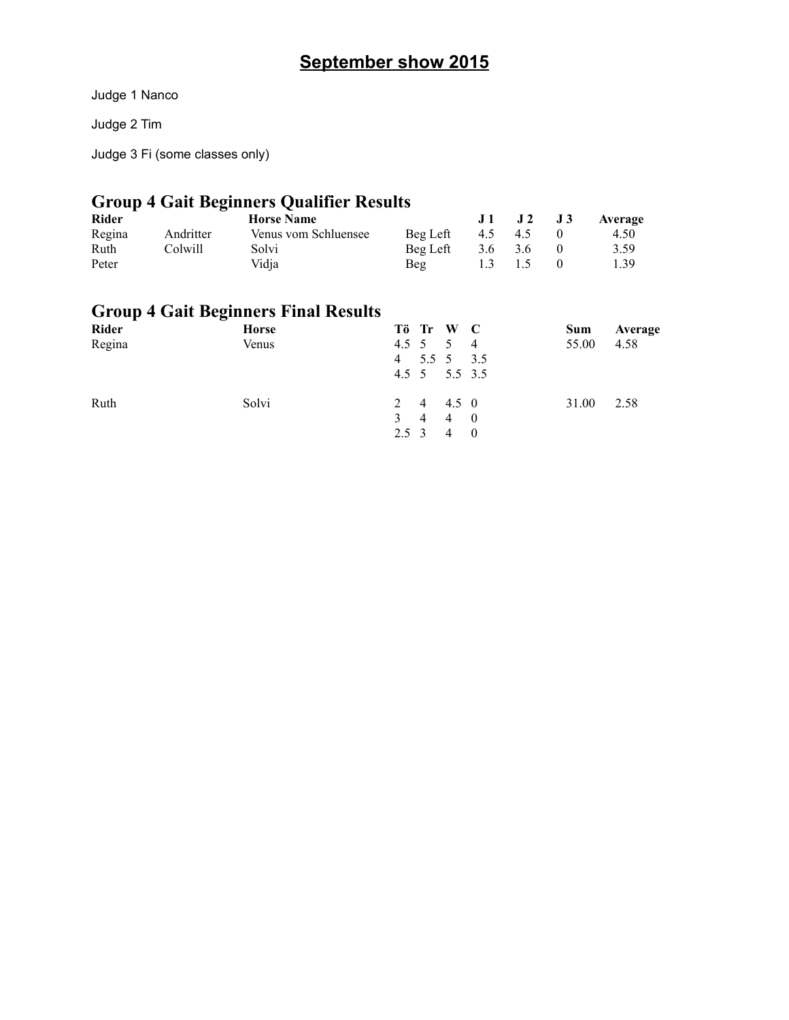### **September show 2015**

Judge 1 Nanco

Judge 2 Tim

Judge 3 Fi (some classes only)

### **Group 4 Gait Beginners Qualifier Results**

| <b>Rider</b> |           | <b>Horse Name</b>    |          |         | $J1$ $J2$ $J3$   | Average |  |
|--------------|-----------|----------------------|----------|---------|------------------|---------|--|
| Regina       | Andritter | Venus vom Schluensee | Beg Left |         | 4.5 4.5          | 4.50    |  |
| Ruth         | Colwill   | Solvi                | Beg Left | 3.6 3.6 |                  | 3.59    |  |
| Peter        |           | Vidia                | Beg      |         | $1.3 \qquad 1.5$ | 1.39    |  |

#### **Group 4 Gait Beginners Final Results**

| Rider  | <b>Horse</b> | Tö Tr W C         |  | Sum   | Average |
|--------|--------------|-------------------|--|-------|---------|
| Regina | Venus        | 4.5 5 5 4         |  | 55.00 | 4.58    |
|        |              | 4 5.5 5 3.5       |  |       |         |
|        |              | 4.5 5 5.5 3.5     |  |       |         |
| Ruth   | Solvi        | 2 4 4.5 0         |  | 31.00 | 2.58    |
|        |              | 3 4 4 0           |  |       |         |
|        |              | $2.5 \t3 \t4 \t0$ |  |       |         |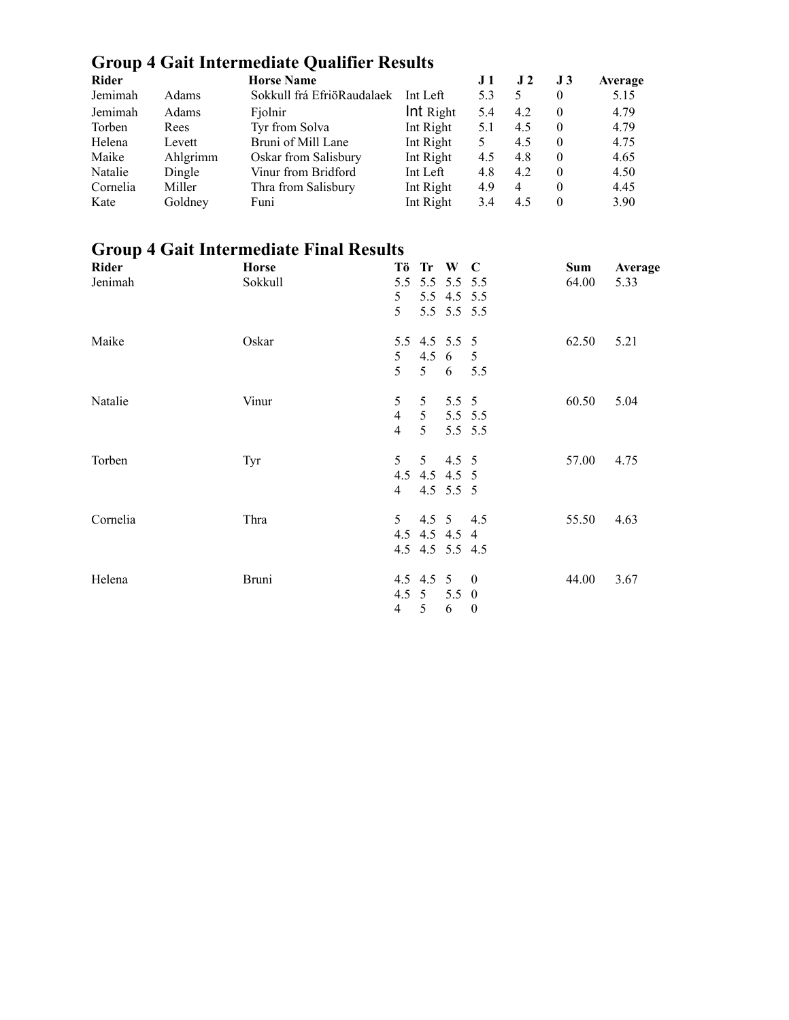# **Group 4 Gait Intermediate Qualifier Results**

| Rider    |          | <b>Horse Name</b>          |           | J 1 | J 2 | J <sub>3</sub> | Average |
|----------|----------|----------------------------|-----------|-----|-----|----------------|---------|
| Jemimah  | Adams    | Sokkull frá EfriöRaudalaek | Int Left  | 5.3 | 5   | 0              | 5.15    |
| Jemimah  | Adams    | Fjolnir                    | Int Right | 5.4 | 4.2 | $\Omega$       | 4.79    |
| Torben   | Rees     | Tyr from Solva             | Int Right | 5.1 | 4.5 | $\theta$       | 4.79    |
| Helena   | Levett   | Bruni of Mill Lane         | Int Right |     | 4.5 | $\Omega$       | 4.75    |
| Maike    | Ahlgrimm | Oskar from Salisbury       | Int Right | 4.5 | 4.8 | $\theta$       | 4.65    |
| Natalie  | Dingle   | Vinur from Bridford        | Int Left  | 4.8 | 4.2 | $\Omega$       | 4.50    |
| Cornelia | Miller   | Thra from Salisbury        | Int Right | 4.9 | 4   | 0              | 4.45    |
| Kate     | Goldney  | Funi                       | Int Right | 3.4 | 4.5 | 0              | 3.90    |

### **Group 4 Gait Intermediate Final Results**

| Rider    | <b>Horse</b> |                |   | Tö Tr W C              |                  | <b>Sum</b> | Average |
|----------|--------------|----------------|---|------------------------|------------------|------------|---------|
| Jenimah  | Sokkull      | 5.5            |   | 5.5 5.5 5.5            |                  | 64.00      | 5.33    |
|          |              | 5              |   | 5.5 4.5 5.5            |                  |            |         |
|          |              | 5              |   | 5.5 5.5 5.5            |                  |            |         |
| Maike    | Oskar        |                |   | 5.5 4.5 5.5 5          |                  | 62.50      | 5.21    |
|          |              | 5 <sup>1</sup> |   | 4.5 $6 \quad 5$        |                  |            |         |
|          |              | 5              |   | $5\quad 6\quad 5.5$    |                  |            |         |
| Natalie  | Vinur        | 5              |   | $5 \t 5.5 \t 5$        |                  | 60.50      | 5.04    |
|          |              | $\overline{4}$ |   | $5\quad 5.5\quad 5.5$  |                  |            |         |
|          |              | $\overline{4}$ | 5 |                        | 5.5 5.5          |            |         |
| Torben   | Tyr          | 5 <sup>5</sup> |   | $5 \t 4.5 \t 5$        |                  | 57.00      | 4.75    |
|          |              |                |   | 4.5 4.5 4.5 5          |                  |            |         |
|          |              | $\overline{4}$ |   | 4.5 $5.5$ 5            |                  |            |         |
| Cornelia | Thra         |                |   | $5 \t 4.5 \t 5 \t 4.5$ |                  | 55.50      | 4.63    |
|          |              |                |   | 4.5 4.5 4.5 4          |                  |            |         |
|          |              |                |   | 4.5 4.5 5.5 4.5        |                  |            |         |
| Helena   | Bruni        |                |   | $4.5$ $4.5$ $5$ 0      |                  | 44.00      | 3.67    |
|          |              |                |   | 4.5 5 5.5 0            |                  |            |         |
|          |              | $\overline{4}$ | 5 | 6                      | $\boldsymbol{0}$ |            |         |
|          |              |                |   |                        |                  |            |         |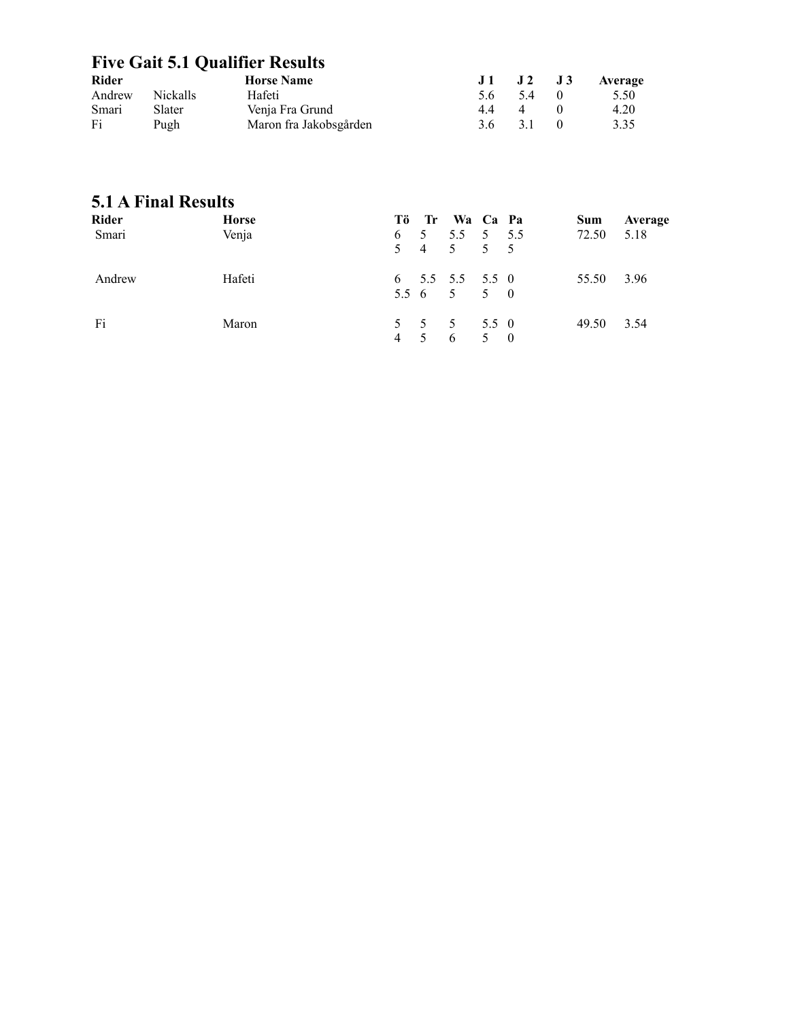#### **Five Gait 5.1 Qualifier Results**

| Rider  |          | <b>Horse Name</b>      |    | $J1$ $J2$ $J3$ |            | Average |
|--------|----------|------------------------|----|----------------|------------|---------|
| Andrew | Nickalls | Hafeti                 | 56 | 54             | $\sqrt{1}$ | 5.50    |
| Smari  | Slater   | Venja Fra Grund        | 44 | $\overline{4}$ |            | 4.20    |
| Fi     | Pugh     | Maron fra Jakobsgården |    | 3.6 3.1        | $\theta$   | 3.35    |

#### **5.1 A Final Results**

| <b>Rider</b><br>Smari | <b>Horse</b><br>Venja |     | Tö Tr Wa Ca Pa<br>$6 \quad 5 \quad 5.5 \quad 5 \quad 5.5$<br>5 4 5 5 5 |  | Sum<br>72.50 | Average<br>5.18 |
|-----------------------|-----------------------|-----|------------------------------------------------------------------------|--|--------------|-----------------|
| Andrew                | Hafeti                |     | $6\quad 5.5\quad 5.5\quad 5.5\quad 0$<br>5.5 6 5 5 0                   |  | 55.50        | 3.96            |
| Fi                    | Maron                 | 4 5 | 5 5 5 5 5 6<br>6 5 0                                                   |  | 49.50        | 3.54            |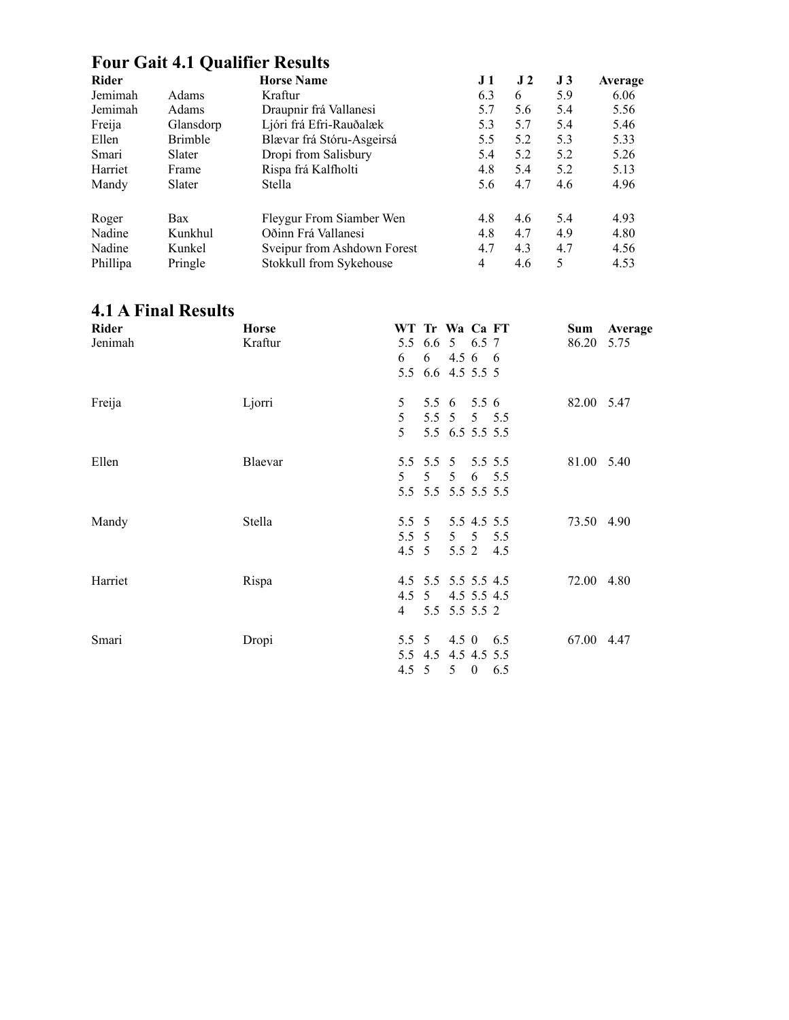#### **Four Gait 4.1 Qualifier Results**

| <b>Rider</b> |                | <b>Horse Name</b>           | J 1 | J <sub>2</sub> | J3  | Average |
|--------------|----------------|-----------------------------|-----|----------------|-----|---------|
| Jemimah      | <b>Adams</b>   | Kraftur                     | 6.3 | 6              | 5.9 | 6.06    |
| Jemimah      | Adams          | Draupnir frá Vallanesi      | 5.7 | 5.6            | 5.4 | 5.56    |
| Freija       | Glansdorp      | Ljóri frá Efri-Rauðalæk     | 5.3 | 5.7            | 5.4 | 5.46    |
| Ellen        | <b>Brimble</b> | Blævar frá Stóru-Asgeirsá   | 5.5 | 5.2            | 5.3 | 5.33    |
| Smari        | Slater         | Dropi from Salisbury        | 5.4 | 5.2            | 5.2 | 5.26    |
| Harriet      | Frame          | Rispa frá Kalfholti         | 4.8 | 5.4            | 5.2 | 5.13    |
| Mandy        | Slater         | Stella                      | 5.6 | 4.7            | 4.6 | 4.96    |
| Roger        | Bax            | Fleygur From Siamber Wen    | 4.8 | 4.6            | 5.4 | 4.93    |
| Nadine       | Kunkhul        | Oðinn Frá Vallanesi         | 4.8 | 4.7            | 4.9 | 4.80    |
| Nadine       | Kunkel         | Sveipur from Ashdown Forest | 4.7 | 4.3            | 4.7 | 4.56    |
| Phillipa     | Pringle        | Stokkull from Sykehouse     | 4   | 4.6            | 5   | 4.53    |

#### **4.1 A Final Results**

| Rider<br>Jenimah | <b>Horse</b><br>Kraftur | WT Tr Wa Ca FT<br>5.5 6.6 5 6.5 7<br>6<br>5.5 6.6 4.5 5.5 5 | $6\quad 4.5\ 6\quad 6$                        |            | Sum<br>86.20 | Average<br>5.75 |
|------------------|-------------------------|-------------------------------------------------------------|-----------------------------------------------|------------|--------------|-----------------|
| Freija           | Ljorri                  | 5<br>5<br>5                                                 | 5.5 6 5.5 6<br>5.5 5 5 5.5<br>5.5 6.5 5.5 5.5 |            | 82.00 5.47   |                 |
| Ellen            | Blaevar                 | 5.5 5.5 5 5.5 5.5<br>5<br>5.5 5.5 5.5 5.5 5.5               | $5 \quad 5$                                   | 6 5.5      | 81.00 5.40   |                 |
| Mandy            | Stella                  | $5.5\;\;5$<br>$5.5\;\;5$<br>$4.5 \t5$                       | 5.5 4.5 5.5<br>$5\quad 5$<br>5.5 2            | 5.5<br>4.5 | 73.50 4.90   |                 |
| Harriet          | Rispa                   | 4.5 5.5 5.5 5.5 4.5<br>4.5 5<br>4                           | 4.5 5.5 4.5<br>5.5 5.5 5.5 2                  |            | 72.00 4.80   |                 |
| Smari            | Dropi                   | 5.5 5<br>5.5 4.5 4.5 4.5 5.5<br>4.5 5                       | $4.5 \t0\t6.5$<br>$5 \t 0 \t 6.5$             |            | 67.00 4.47   |                 |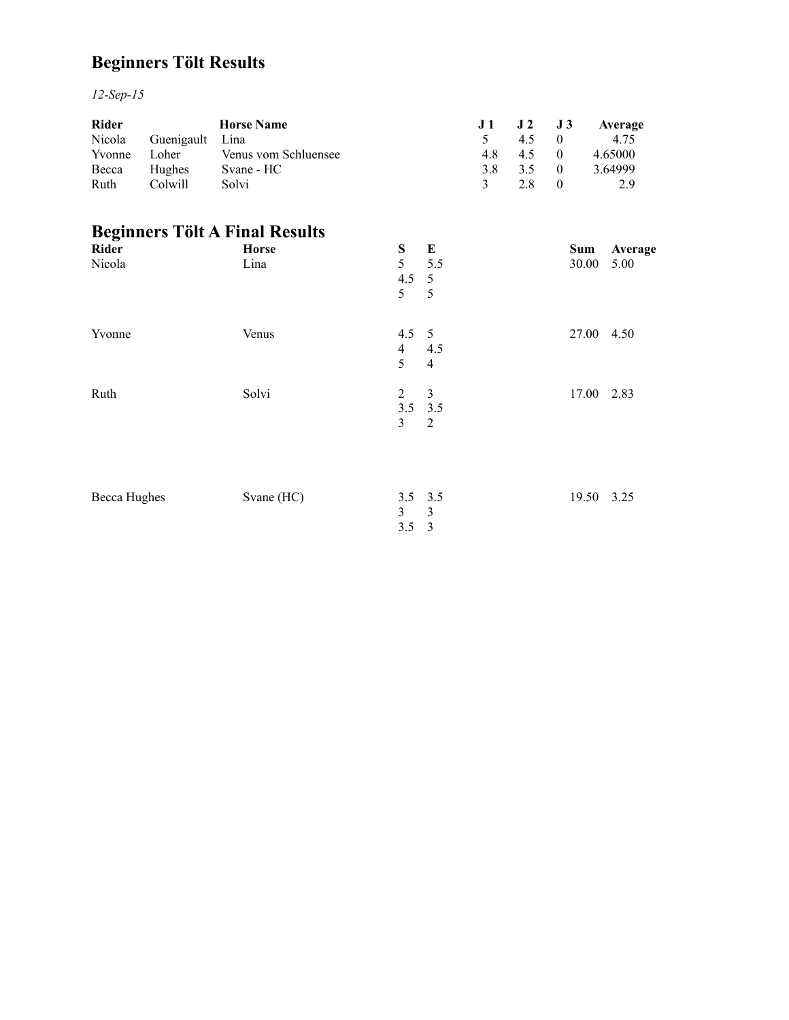# **Beginners Tölt Results**

*12-Sep-15*

| <b>Rider</b> |               | <b>Horse Name</b>    |     | $J1$ $J2$ $J3$ |          | Average |
|--------------|---------------|----------------------|-----|----------------|----------|---------|
| Nicola       | Guenigault    | Lina                 |     | 45             |          | 4.75    |
| Yvonne       | Loher         | Venus vom Schluensee | 4.8 | 45             | $\theta$ | 4.65000 |
| Becca        | <b>Hughes</b> | Svane - HC           | 38  | 35             | $\theta$ | 3.64999 |
| Ruth         | Colwill       | Solvi                |     | 2 X            |          | 2.9     |

# **Beginners Tölt A Final Results**

| Rider        | <b>Horse</b> | S              | E              | Sum        | Average |
|--------------|--------------|----------------|----------------|------------|---------|
| Nicola       | Lina         | 5              | 5.5            | 30.00      | 5.00    |
|              |              | 4.5            | $\overline{5}$ |            |         |
|              |              | 5              | 5              |            |         |
| Yvonne       | Venus        | $4.5 \quad 5$  |                | 27.00 4.50 |         |
|              |              | $\overline{4}$ | 4.5            |            |         |
|              |              | 5              | $\overline{4}$ |            |         |
| Ruth         | Solvi        | $\overline{2}$ | $\mathfrak{Z}$ | 17.00 2.83 |         |
|              |              |                | $3.5$ $3.5$    |            |         |
|              |              | 3              | 2              |            |         |
|              |              |                |                |            |         |
| Becca Hughes | Svane (HC)   |                | $3.5$ $3.5$    | 19.50 3.25 |         |
|              |              | 3              | $\mathfrak{Z}$ |            |         |
|              |              | 3.5            | $\overline{3}$ |            |         |
|              |              |                |                |            |         |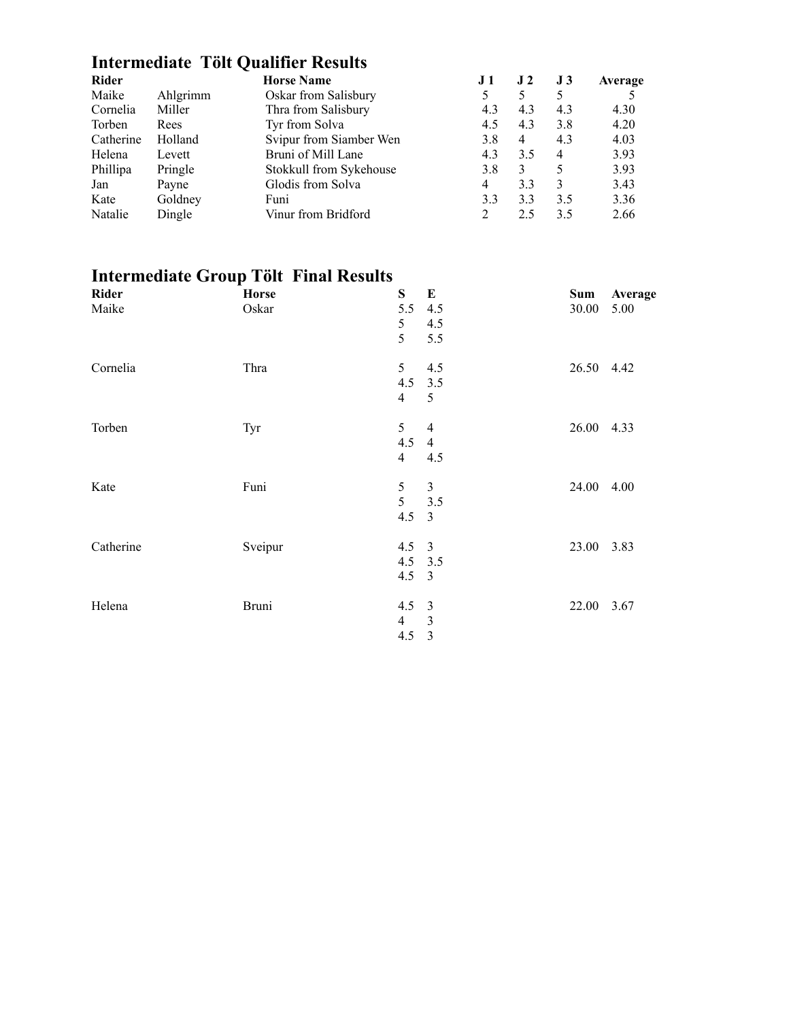# **Intermediate Tölt Qualifier Results**

| <b>Rider</b> |          | <b>Horse Name</b>       | J 1 | J <sub>2</sub> | J <sub>3</sub> | Average |
|--------------|----------|-------------------------|-----|----------------|----------------|---------|
| Maike        | Ahlgrimm | Oskar from Salisbury    |     |                | 5              |         |
| Cornelia     | Miller   | Thra from Salisbury     | 4.3 | 4.3            | 4.3            | 4.30    |
| Torben       | Rees     | Tyr from Solva          | 4.5 | 4.3            | 3.8            | 4.20    |
| Catherine    | Holland  | Svipur from Siamber Wen | 3.8 | $\overline{4}$ | 4.3            | 4.03    |
| Helena       | Levett   | Bruni of Mill Lane      | 4.3 | 3.5            | $\overline{4}$ | 3.93    |
| Phillipa     | Pringle  | Stokkull from Sykehouse | 3.8 | 3              | 5              | 3.93    |
| Jan          | Payne    | Glodis from Solva       | 4   | 3.3            | 3              | 3.43    |
| Kate         | Goldney  | Funi                    | 3.3 | 3.3            | 3.5            | 3.36    |
| Natalie      | Dingle   | Vinur from Bridford     |     | 2.5            | 3.5            | 2.66    |

# **Intermediate Group Tölt Final Results**

| Rider                       | <b>Horse</b>                           | $S_{\text{}}$                                                        | E                                                                       | Sum                                    | Average |
|-----------------------------|----------------------------------------|----------------------------------------------------------------------|-------------------------------------------------------------------------|----------------------------------------|---------|
| Maike                       | Oskar                                  | 5.5                                                                  | 4.5                                                                     | 30.00                                  | 5.00    |
|                             |                                        | 5                                                                    | 4.5                                                                     |                                        |         |
|                             |                                        | 5                                                                    | 5.5                                                                     |                                        |         |
| Cornelia                    | Thra                                   | 5                                                                    | 4.5                                                                     | 26.50 4.42                             |         |
|                             |                                        | 4.5                                                                  | 3.5                                                                     |                                        |         |
|                             |                                        | $\overline{4}$                                                       | 5                                                                       |                                        |         |
| Torben                      |                                        | 5                                                                    | 4                                                                       | 26.00 4.33                             |         |
|                             |                                        |                                                                      |                                                                         |                                        |         |
|                             |                                        | $\overline{4}$                                                       | 4.5                                                                     |                                        |         |
|                             |                                        |                                                                      |                                                                         |                                        |         |
|                             |                                        |                                                                      |                                                                         |                                        |         |
|                             |                                        | 4.5                                                                  | $\overline{3}$                                                          |                                        |         |
|                             |                                        |                                                                      |                                                                         |                                        |         |
|                             |                                        |                                                                      |                                                                         |                                        |         |
|                             |                                        | 4.5                                                                  | $\overline{3}$                                                          |                                        |         |
|                             |                                        |                                                                      |                                                                         |                                        |         |
|                             |                                        |                                                                      |                                                                         |                                        |         |
|                             |                                        | 4.5                                                                  | $\overline{3}$                                                          |                                        |         |
| Kate<br>Catherine<br>Helena | Tyr<br>Funi<br>Sveipur<br><b>Bruni</b> | 4.5<br>5<br>5<br>$4.5 \quad 3$<br>$4.5$ 3.5<br>4.5<br>$\overline{4}$ | $\overline{4}$<br>$\mathfrak{Z}$<br>3.5<br>$\overline{\mathbf{3}}$<br>3 | 24.00 4.00<br>23.00 3.83<br>22.00 3.67 |         |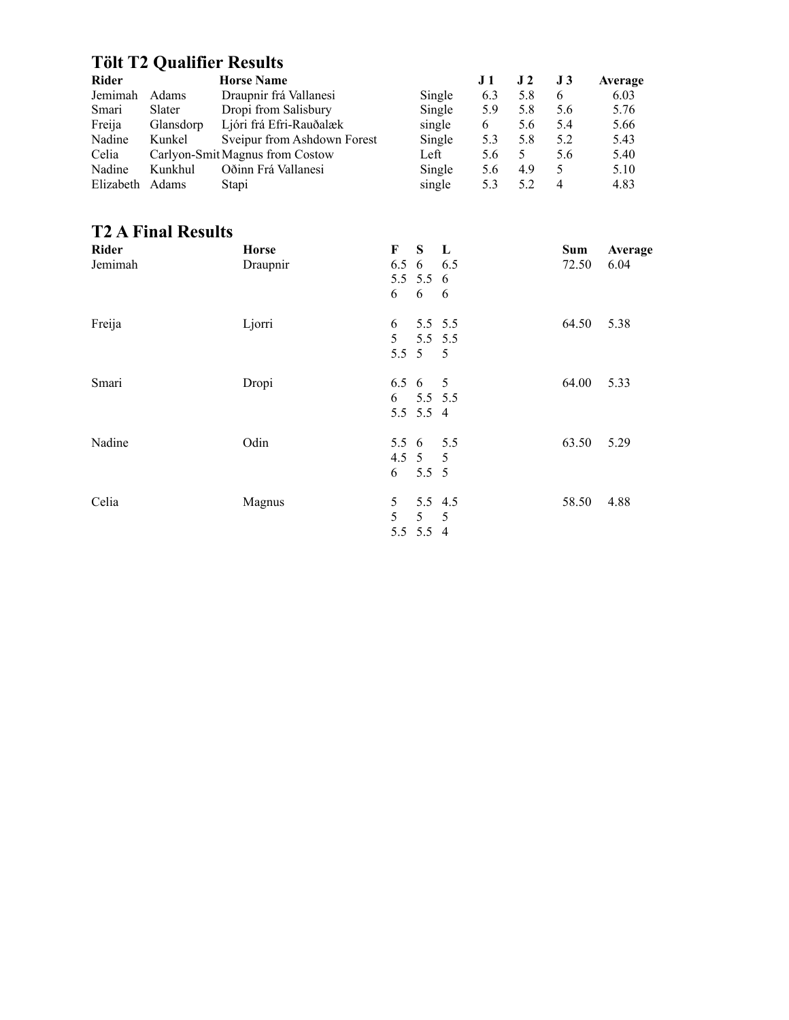# **Tölt T2 Qualifier Results**

| <b>Rider</b> |              | <b>Horse Name</b>               |        | J 1 | J 2 | <b>J</b> 3     | Average |
|--------------|--------------|---------------------------------|--------|-----|-----|----------------|---------|
| Jemimah      | <b>Adams</b> | Draupnir frá Vallanesi          | Single | 6.3 | 5.8 | 6              | 6.03    |
| Smari        | Slater       | Dropi from Salisbury            | Single | 5.9 | 5.8 | 5.6            | 5.76    |
| Freija       | Glansdorp    | Ljóri frá Efri-Rauðalæk         | single | 6   | 5.6 | 5.4            | 5.66    |
| Nadine       | Kunkel       | Sveipur from Ashdown Forest     | Single | 5.3 | 5.8 | 5.2            | 5.43    |
| Celia        |              | Carlyon-Smit Magnus from Costow | Left   | 5.6 |     | 5.6            | 5.40    |
| Nadine       | Kunkhul      | Oðinn Frá Vallanesi             | Single | 5.6 | 4.9 | 5              | 5.10    |
| Elizabeth    | Adams        | Stapi                           | single | 5.3 | 5.2 | $\overline{4}$ | 4.83    |

### **T2 A Final Results**

| <b>Rider</b> | <b>Horse</b> | F<br>S.<br>$\mathbf{L}$ | <b>Sum</b> | Average |
|--------------|--------------|-------------------------|------------|---------|
| Jemimah      | Draupnir     | 6.5 6 6.5               | 72.50      | 6.04    |
|              |              | 5.5 5.5 6               |            |         |
|              |              | 6<br>6<br>- 6           |            |         |
| Freija       | Ljorri       | 5.5 5.5<br>6            | 64.50      | 5.38    |
|              |              | 5<br>5.5 5.5            |            |         |
|              |              | 5.5 5 5                 |            |         |
| Smari        | Dropi        | $6.5 \t6 \t5$           | 64.00      | 5.33    |
|              |              | 6<br>5.5 5.5            |            |         |
|              |              | 5.5 5.5 4               |            |         |
| Nadine       | Odin         | 5.5 6 5.5               | 63.50      | 5.29    |
|              |              | 4.5 5 5                 |            |         |
|              |              | 6<br>$5.5\ 5$           |            |         |
| Celia        | Magnus       | 5.5 4.5<br>5            | 58.50      | 4.88    |
|              |              | 5<br>$5\quad 5$         |            |         |
|              |              | 5.5 5.5 4               |            |         |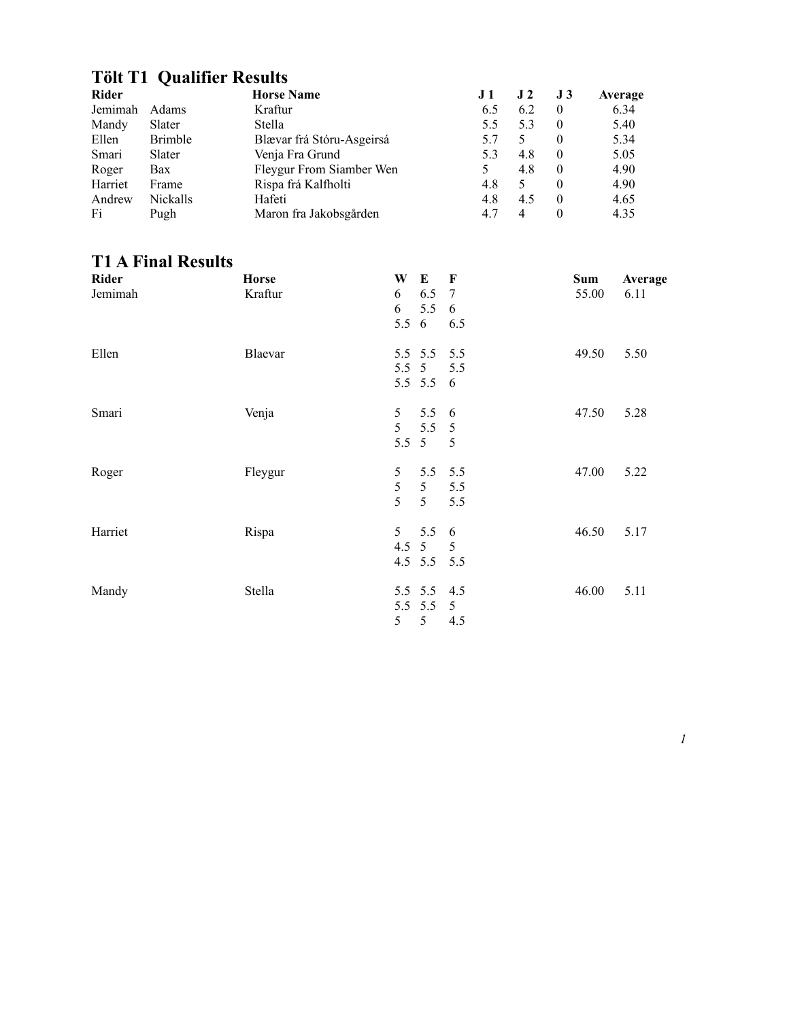### **Tölt T1 Qualifier Results**

| <b>Rider</b> |                 | <b>Horse Name</b>         | J 1 | J <sub>2</sub> | J 3      | Average |
|--------------|-----------------|---------------------------|-----|----------------|----------|---------|
| Jemimah      | <b>Adams</b>    | Kraftur                   | 6.5 | 6.2            | $\theta$ | 6.34    |
| Mandy        | Slater          | Stella                    | 5.5 | 5.3            | $\theta$ | 5.40    |
| Ellen        | <b>Brimble</b>  | Blævar frá Stóru-Asgeirsá | 5.7 |                | $\theta$ | 5.34    |
| Smari        | Slater          | Venja Fra Grund           | 5.3 | 4.8            | $\theta$ | 5.05    |
| Roger        | Bax             | Fleygur From Siamber Wen  |     | 4.8            | $\theta$ | 4.90    |
| Harriet      | Frame           | Rispa frá Kalfholti       | 4.8 |                | $\Omega$ | 4.90    |
| Andrew       | <b>Nickalls</b> | Hafeti                    | 4.8 | 4.5            | $\Omega$ | 4.65    |
| Fi           | Pugh            | Maron fra Jakobsgården    | 4.7 | 4              |          | 4.35    |

#### **T1 A Final Results**

| Rider<br>Jemimah | <b>Horse</b><br>Kraftur | W<br>E<br>$\mathbf F$<br>6.5<br>6<br>7<br>5.5<br>6<br>6<br>5.5<br>6<br>6.5                                | Sum<br>Average<br>55.00<br>6.11 |
|------------------|-------------------------|-----------------------------------------------------------------------------------------------------------|---------------------------------|
| Ellen            | Blaevar                 | 5.5 5.5<br>5.5<br>5 <sup>5</sup><br>5.5<br>5.5<br>$5.5 \t5.5$<br>- 6                                      | 49.50<br>5.50                   |
| Smari            | Venja                   | $5.5\quad 6$<br>5 <sup>5</sup><br>5 <sup>5</sup><br>5.5<br>$5\overline{)}$<br>5.5<br>$5\overline{)}$<br>5 | 47.50<br>5.28                   |
| Roger            | Fleygur                 | 5<br>5.5<br>5.5<br>$\mathfrak{S}$<br>5 <sup>5</sup><br>5.5<br>5<br>5<br>5.5                               | 47.00<br>5.22                   |
| Harriet          | Rispa                   | 5.5<br>5 <sup>1</sup><br>-6<br>$4.5 \t5$<br>5<br>$4.5$ 5.5<br>5.5                                         | 46.50<br>5.17                   |
| Mandy            | Stella                  | 5.5 5.5 4.5<br>5.5 5.5<br>5<br>5<br>5<br>4.5                                                              | 46.00<br>5.11                   |

*1*